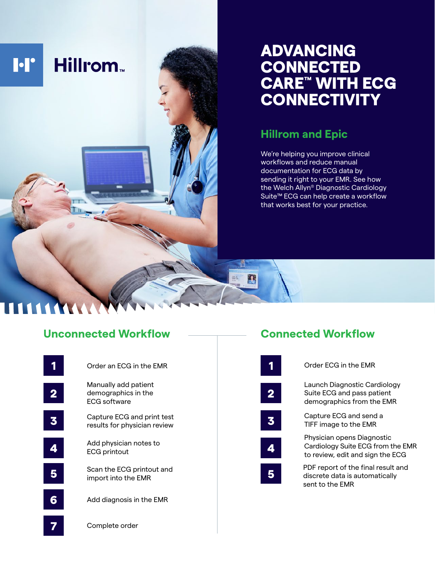

## ADVANCING **CONNECTED** CARE™ WITH ECG **CONNECTIVITY**

## **Hillrom and Epic**

We're helping you improve clinical workflows and reduce manual documentation for ECG data by sending it right to your EMR. See how the Welch Allyn® Diagnostic Cardiology Suite™ ECG can help create a workflow that works best for your practice.

## **Unconnected Workflow**



# **Connected Workflow**

| Order ECG in the EMR                                                                                |
|-----------------------------------------------------------------------------------------------------|
| Launch Diagnostic Cardiology<br>Suite ECG and pass patient<br>demographics from the EMR             |
| Capture ECG and send a<br>TIFF image to the EMR                                                     |
| Physician opens Diagnostic<br>Cardiology Suite ECG from the EMR<br>to review, edit and sign the ECG |
| PDF report of the final result and<br>discrete data is automatically<br>sent to the EMR             |